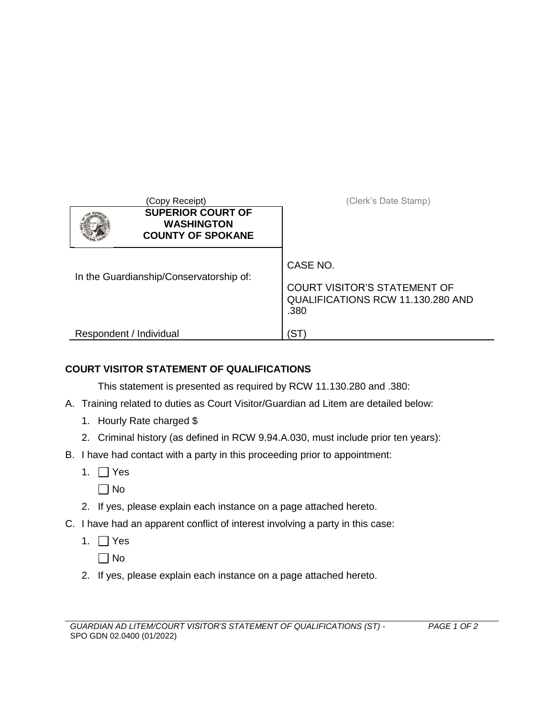| (Copy Receipt)                                                            | (Clerk's Date Stamp)                                                                         |
|---------------------------------------------------------------------------|----------------------------------------------------------------------------------------------|
| <b>SUPERIOR COURT OF</b><br><b>WASHINGTON</b><br><b>COUNTY OF SPOKANE</b> |                                                                                              |
| In the Guardianship/Conservatorship of:                                   | CASE NO.<br><b>COURT VISITOR'S STATEMENT OF</b><br>QUALIFICATIONS RCW 11.130.280 AND<br>.380 |
| Respondent / Individual                                                   | 'ST                                                                                          |

## **COURT VISITOR STATEMENT OF QUALIFICATIONS**

This statement is presented as required by RCW 11.130.280 and .380:

- A. Training related to duties as Court Visitor/Guardian ad Litem are detailed below:
	- 1. Hourly Rate charged \$
	- 2. Criminal history (as defined in RCW 9.94.A.030, must include prior ten years):
- B. I have had contact with a party in this proceeding prior to appointment:
	- 1.  $\Box$  Yes
		- $\Box$  No
	- 2. If yes, please explain each instance on a page attached hereto.
- C. I have had an apparent conflict of interest involving a party in this case:
	- 1.  $\Box$  Yes

 $\Box$  No

2. If yes, please explain each instance on a page attached hereto.